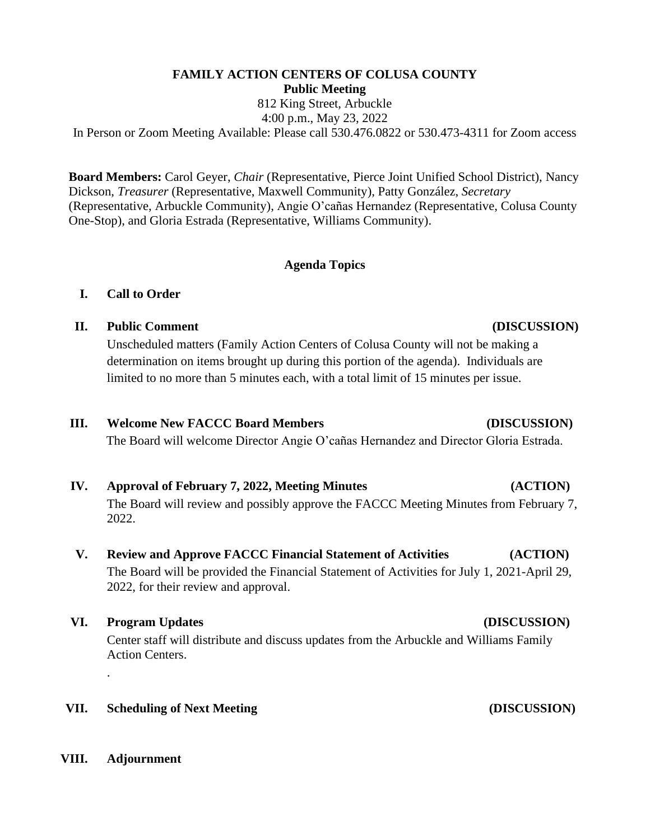# **FAMILY ACTION CENTERS OF COLUSA COUNTY Public Meeting**

812 King Street, Arbuckle 4:00 p.m., May 23, 2022

In Person or Zoom Meeting Available: Please call 530.476.0822 or 530.473-4311 for Zoom access

**Board Members:** Carol Geyer, *Chair* (Representative, Pierce Joint Unified School District), Nancy Dickson, *Treasurer* (Representative, Maxwell Community), Patty González, *Secretary* (Representative, Arbuckle Community), Angie O'cañas Hernandez (Representative, Colusa County One-Stop), and Gloria Estrada (Representative, Williams Community).

## **Agenda Topics**

# **I. Call to Order**

**II. Public Comment (DISCUSSION)** 

Unscheduled matters (Family Action Centers of Colusa County will not be making a determination on items brought up during this portion of the agenda). Individuals are limited to no more than 5 minutes each, with a total limit of 15 minutes per issue.

### **III. Welcome New FACCC Board Members (DISCUSSION)**

The Board will welcome Director Angie O'cañas Hernandez and Director Gloria Estrada.

# **IV. Approval of February 7, 2022, Meeting Minutes (ACTION)**

The Board will review and possibly approve the FACCC Meeting Minutes from February 7, 2022.

# **V. Review and Approve FACCC Financial Statement of Activities (ACTION)**

The Board will be provided the Financial Statement of Activities for July 1, 2021-April 29, 2022, for their review and approval.

# **VI. Program Updates (DISCUSSION)**

Center staff will distribute and discuss updates from the Arbuckle and Williams Family Action Centers.

### **VII. Scheduling of Next Meeting (DISCUSSION)**

### **VIII. Adjournment**

.